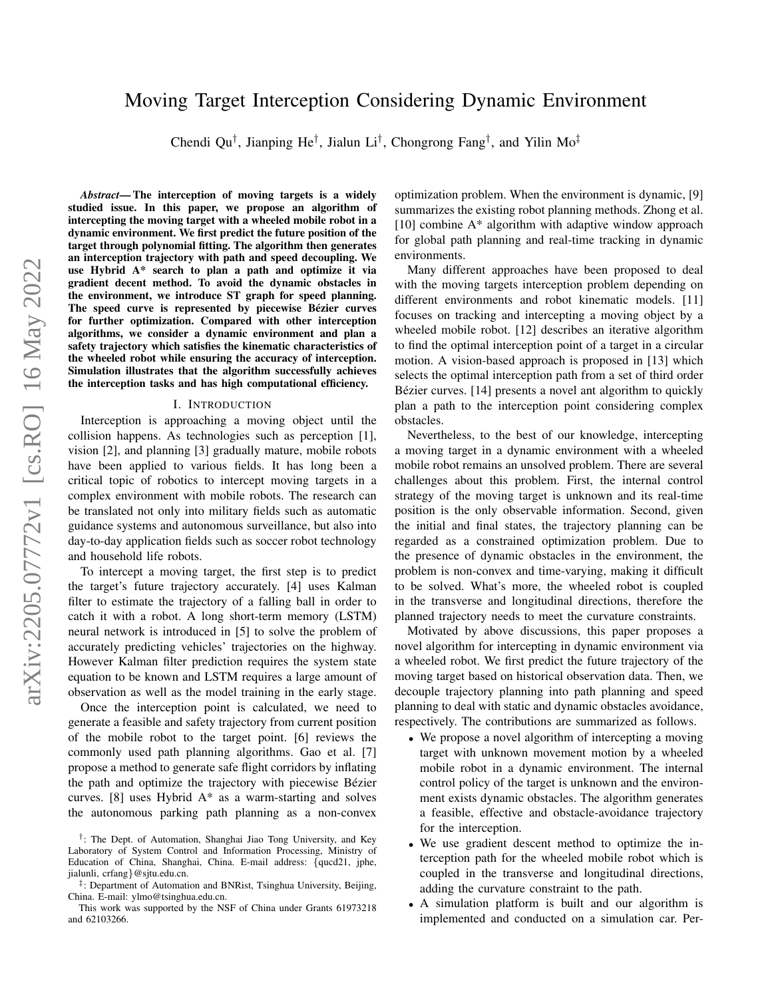## Moving Target Interception Considering Dynamic Environment

Chendi Qu<sup>†</sup>, Jianping He<sup>†</sup>, Jialun Li<sup>†</sup>, Chongrong Fang<sup>†</sup>, and Yilin Mo<sup>‡</sup>

*Abstract*— The interception of moving targets is a widely studied issue. In this paper, we propose an algorithm of intercepting the moving target with a wheeled mobile robot in a dynamic environment. We first predict the future position of the target through polynomial fitting. The algorithm then generates an interception trajectory with path and speed decoupling. We use Hybrid A\* search to plan a path and optimize it via gradient decent method. To avoid the dynamic obstacles in the environment, we introduce ST graph for speed planning. The speed curve is represented by piecewise Bézier curves for further optimization. Compared with other interception algorithms, we consider a dynamic environment and plan a safety trajectory which satisfies the kinematic characteristics of the wheeled robot while ensuring the accuracy of interception. Simulation illustrates that the algorithm successfully achieves the interception tasks and has high computational efficiency.

#### I. INTRODUCTION

Interception is approaching a moving object until the collision happens. As technologies such as perception [1], vision [2], and planning [3] gradually mature, mobile robots have been applied to various fields. It has long been a critical topic of robotics to intercept moving targets in a complex environment with mobile robots. The research can be translated not only into military fields such as automatic guidance systems and autonomous surveillance, but also into day-to-day application fields such as soccer robot technology and household life robots.

To intercept a moving target, the first step is to predict the target's future trajectory accurately. [4] uses Kalman filter to estimate the trajectory of a falling ball in order to catch it with a robot. A long short-term memory (LSTM) neural network is introduced in [5] to solve the problem of accurately predicting vehicles' trajectories on the highway. However Kalman filter prediction requires the system state equation to be known and LSTM requires a large amount of observation as well as the model training in the early stage.

Once the interception point is calculated, we need to generate a feasible and safety trajectory from current position of the mobile robot to the target point. [6] reviews the commonly used path planning algorithms. Gao et al. [7] propose a method to generate safe flight corridors by inflating the path and optimize the trajectory with piecewise Bézier curves. [8] uses Hybrid A\* as a warm-starting and solves the autonomous parking path planning as a non-convex optimization problem. When the environment is dynamic, [9] summarizes the existing robot planning methods. Zhong et al.  $[10]$  combine A\* algorithm with adaptive window approach for global path planning and real-time tracking in dynamic environments.

Many different approaches have been proposed to deal with the moving targets interception problem depending on different environments and robot kinematic models. [11] focuses on tracking and intercepting a moving object by a wheeled mobile robot. [12] describes an iterative algorithm to find the optimal interception point of a target in a circular motion. A vision-based approach is proposed in [13] which selects the optimal interception path from a set of third order Bézier curves. [14] presents a novel ant algorithm to quickly plan a path to the interception point considering complex obstacles.

Nevertheless, to the best of our knowledge, intercepting a moving target in a dynamic environment with a wheeled mobile robot remains an unsolved problem. There are several challenges about this problem. First, the internal control strategy of the moving target is unknown and its real-time position is the only observable information. Second, given the initial and final states, the trajectory planning can be regarded as a constrained optimization problem. Due to the presence of dynamic obstacles in the environment, the problem is non-convex and time-varying, making it difficult to be solved. What's more, the wheeled robot is coupled in the transverse and longitudinal directions, therefore the planned trajectory needs to meet the curvature constraints.

Motivated by above discussions, this paper proposes a novel algorithm for intercepting in dynamic environment via a wheeled robot. We first predict the future trajectory of the moving target based on historical observation data. Then, we decouple trajectory planning into path planning and speed planning to deal with static and dynamic obstacles avoidance, respectively. The contributions are summarized as follows.

- We propose a novel algorithm of intercepting a moving target with unknown movement motion by a wheeled mobile robot in a dynamic environment. The internal control policy of the target is unknown and the environment exists dynamic obstacles. The algorithm generates a feasible, effective and obstacle-avoidance trajectory for the interception.
- We use gradient descent method to optimize the interception path for the wheeled mobile robot which is coupled in the transverse and longitudinal directions, adding the curvature constraint to the path.
- A simulation platform is built and our algorithm is implemented and conducted on a simulation car. Per-

<sup>&</sup>lt;sup>†</sup>: The Dept. of Automation, Shanghai Jiao Tong University, and Key Laboratory of System Control and Information Processing, Ministry of Education of China, Shanghai, China. E-mail address: {qucd21, jphe, jialunli, crfang}@sjtu.edu.cn.

<sup>‡</sup> : Department of Automation and BNRist, Tsinghua University, Beijing, China. E-mail: ylmo@tsinghua.edu.cn.

This work was supported by the NSF of China under Grants 61973218 and 62103266.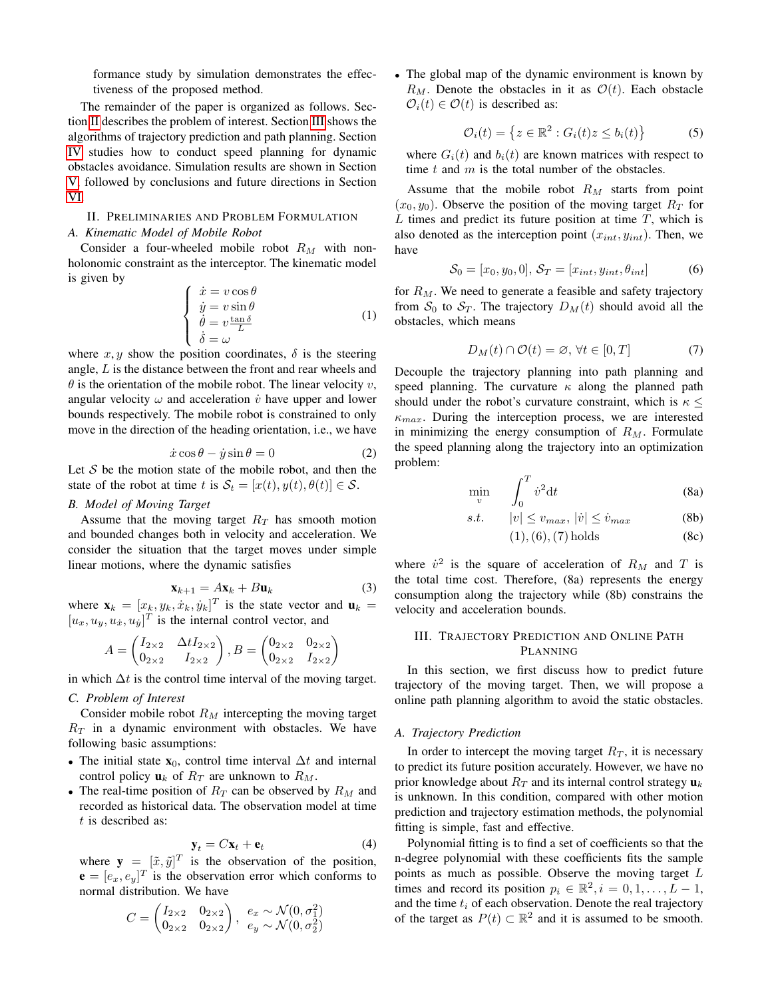formance study by simulation demonstrates the effectiveness of the proposed method.

The remainder of the paper is organized as follows. Section [II](#page-1-0) describes the problem of interest. Section [III](#page-1-1) shows the algorithms of trajectory prediction and path planning. Section [IV](#page-3-0) studies how to conduct speed planning for dynamic obstacles avoidance. Simulation results are shown in Section [V,](#page-4-0) followed by conclusions and future directions in Section [VI.](#page-4-1)

## <span id="page-1-0"></span>II. PRELIMINARIES AND PROBLEM FORMULATION

#### *A. Kinematic Model of Mobile Robot*

Consider a four-wheeled mobile robot  $R_M$  with nonholonomic constraint as the interceptor. The kinematic model is given by

$$
\begin{cases}\n\dot{x} = v \cos \theta \\
\dot{y} = v \sin \theta \\
\dot{\theta} = v \frac{\tan \delta}{L} \\
\dot{\delta} = \omega\n\end{cases}
$$
\n(1)

where  $x, y$  show the position coordinates,  $\delta$  is the steering angle, L is the distance between the front and rear wheels and  $\theta$  is the orientation of the mobile robot. The linear velocity v, angular velocity  $\omega$  and acceleration  $\dot{v}$  have upper and lower bounds respectively. The mobile robot is constrained to only move in the direction of the heading orientation, i.e., we have

$$
\dot{x}\cos\theta - \dot{y}\sin\theta = 0\tag{2}
$$

Let  $S$  be the motion state of the mobile robot, and then the state of the robot at time t is  $S_t = [x(t), y(t), \theta(t)] \in S$ .

## *B. Model of Moving Target*

Assume that the moving target  $R_T$  has smooth motion and bounded changes both in velocity and acceleration. We consider the situation that the target moves under simple linear motions, where the dynamic satisfies

$$
\mathbf{x}_{k+1} = A\mathbf{x}_k + B\mathbf{u}_k \tag{3}
$$

where  $\mathbf{x}_k = [x_k, y_k, \dot{x}_k, \dot{y}_k]^T$  is the state vector and  $\mathbf{u}_k =$  $[u_x, u_y, u_x, u_y]^T$  is the internal control vector, and

$$
A = \begin{pmatrix} I_{2\times 2} & \Delta t I_{2\times 2} \\ 0_{2\times 2} & I_{2\times 2} \end{pmatrix}, B = \begin{pmatrix} 0_{2\times 2} & 0_{2\times 2} \\ 0_{2\times 2} & I_{2\times 2} \end{pmatrix}
$$

in which  $\Delta t$  is the control time interval of the moving target.

#### *C. Problem of Interest*

Consider mobile robot  $R_M$  intercepting the moving target  $R<sub>T</sub>$  in a dynamic environment with obstacles. We have following basic assumptions:

- The initial state  $\mathbf{x}_0$ , control time interval  $\Delta t$  and internal control policy  $\mathbf{u}_k$  of  $R_T$  are unknown to  $R_M$ .
- The real-time position of  $R_T$  can be observed by  $R_M$  and recorded as historical data. The observation model at time t is described as:

$$
\mathbf{y}_t = C\mathbf{x}_t + \mathbf{e}_t \tag{4}
$$

where  $y = [\tilde{x}, \tilde{y}]^T$  is the observation of the position,  $\mathbf{e} = [e_x, e_y]^T$  is the observation error which conforms to normal distribution. We have

$$
C = \begin{pmatrix} I_{2\times 2} & 0_{2\times 2} \\ 0_{2\times 2} & 0_{2\times 2} \end{pmatrix}, \begin{array}{l} e_x \sim \mathcal{N}(0, \sigma_1^2) \\ e_y \sim \mathcal{N}(0, \sigma_2^2) \end{array}
$$

• The global map of the dynamic environment is known by  $R_M$ . Denote the obstacles in it as  $\mathcal{O}(t)$ . Each obstacle  $\mathcal{O}_i(t) \in \mathcal{O}(t)$  is described as:

$$
\mathcal{O}_i(t) = \left\{ z \in \mathbb{R}^2 : G_i(t)z \le b_i(t) \right\} \tag{5}
$$

where  $G_i(t)$  and  $b_i(t)$  are known matrices with respect to time  $t$  and  $m$  is the total number of the obstacles.

Assume that the mobile robot  $R_M$  starts from point  $(x_0, y_0)$ . Observe the position of the moving target  $R_T$  for  $L$  times and predict its future position at time  $T$ , which is also denoted as the interception point  $(x_{int}, y_{int})$ . Then, we have

$$
\mathcal{S}_0 = [x_0, y_0, 0], \mathcal{S}_T = [x_{int}, y_{int}, \theta_{int}] \tag{6}
$$

for  $R_M$ . We need to generate a feasible and safety trajectory from  $S_0$  to  $S_T$ . The trajectory  $D_M(t)$  should avoid all the obstacles, which means

$$
D_M(t) \cap \mathcal{O}(t) = \varnothing, \,\forall t \in [0, T] \tag{7}
$$

Decouple the trajectory planning into path planning and speed planning. The curvature  $\kappa$  along the planned path should under the robot's curvature constraint, which is  $\kappa \leq$  $\kappa_{max}$ . During the interception process, we are interested in minimizing the energy consumption of  $R_M$ . Formulate the speed planning along the trajectory into an optimization problem:

$$
\min_{v} \qquad \int_{0}^{T} \dot{v}^{2} \mathrm{d}t \tag{8a}
$$

$$
s.t. \qquad |v| \le v_{max}, \, |\dot{v}| \le \dot{v}_{max} \tag{8b}
$$

(1),(6),(7) holds (8c)

where  $\dot{v}^2$  is the square of acceleration of  $R_M$  and T is the total time cost. Therefore, (8a) represents the energy consumption along the trajectory while (8b) constrains the velocity and acceleration bounds.

## <span id="page-1-1"></span>III. TRAJECTORY PREDICTION AND ONLINE PATH PLANNING

In this section, we first discuss how to predict future trajectory of the moving target. Then, we will propose a online path planning algorithm to avoid the static obstacles.

#### *A. Trajectory Prediction*

In order to intercept the moving target  $R_T$ , it is necessary to predict its future position accurately. However, we have no prior knowledge about  $R_T$  and its internal control strategy  $\mathbf{u}_k$ is unknown. In this condition, compared with other motion prediction and trajectory estimation methods, the polynomial fitting is simple, fast and effective.

Polynomial fitting is to find a set of coefficients so that the n-degree polynomial with these coefficients fits the sample points as much as possible. Observe the moving target L times and record its position  $p_i \in \mathbb{R}^2, i = 0, 1, \ldots, L - 1$ , and the time  $t_i$  of each observation. Denote the real trajectory of the target as  $P(t) \subset \mathbb{R}^2$  and it is assumed to be smooth.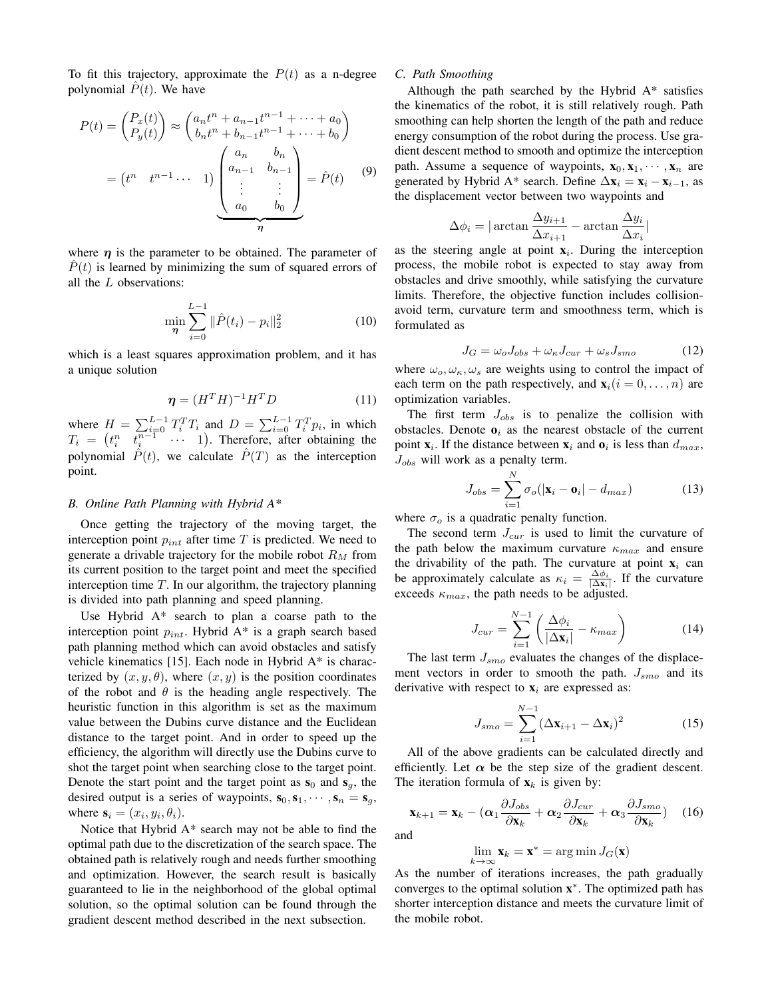To fit this trajectory, approximate the  $P(t)$  as a n-degree polynomial  $P(t)$ . We have

$$
P(t) = \begin{pmatrix} P_x(t) \\ P_y(t) \end{pmatrix} \approx \begin{pmatrix} a_n t^n + a_{n-1} t^{n-1} + \dots + a_0 \\ b_n t^n + b_{n-1} t^{n-1} + \dots + b_0 \end{pmatrix}
$$

$$
= \begin{pmatrix} t^n & t^{n-1} & \cdots & 1 \end{pmatrix} \begin{pmatrix} a_n & b_n \\ a_{n-1} & b_{n-1} \\ \vdots & \vdots \\ a_0 & b_0 \end{pmatrix} = \hat{P}(t) \qquad (9)
$$

where  $\eta$  is the parameter to be obtained. The parameter of  $\hat{P}(t)$  is learned by minimizing the sum of squared errors of all the L observations:

$$
\min_{\eta} \sum_{i=0}^{L-1} \|\hat{P}(t_i) - p_i\|_2^2
$$
 (10)

which is a least squares approximation problem, and it has a unique solution

$$
\boldsymbol{\eta} = (H^T H)^{-1} H^T D \tag{11}
$$

where  $H = \sum_{i=0}^{L-1} T_i^T T_i$  and  $D = \sum_{i=0}^{L-1} T_i^T p_i$ , in which  $T_i = \begin{pmatrix} t_i^n & t_i^{n-1} & \cdots & 1 \end{pmatrix}$ . Therefore, after obtaining the polynomial  $\hat{P}(t)$ , we calculate  $\hat{P}(T)$  as the interception point.

#### *B. Online Path Planning with Hybrid A\**

Once getting the trajectory of the moving target, the interception point  $p_{int}$  after time  $T$  is predicted. We need to generate a drivable trajectory for the mobile robot  $R_M$  from its current position to the target point and meet the specified interception time  $T$ . In our algorithm, the trajectory planning is divided into path planning and speed planning.

Use Hybrid A\* search to plan a coarse path to the interception point  $p_{int}$ . Hybrid A\* is a graph search based path planning method which can avoid obstacles and satisfy vehicle kinematics [15]. Each node in Hybrid A\* is characterized by  $(x, y, \theta)$ , where  $(x, y)$  is the position coordinates of the robot and  $\theta$  is the heading angle respectively. The heuristic function in this algorithm is set as the maximum value between the Dubins curve distance and the Euclidean distance to the target point. And in order to speed up the efficiency, the algorithm will directly use the Dubins curve to shot the target point when searching close to the target point. Denote the start point and the target point as  $s_0$  and  $s_q$ , the desired output is a series of waypoints,  $s_0, s_1, \dots, s_n = s_g$ , where  $\mathbf{s}_i = (x_i, y_i, \theta_i)$ .

Notice that Hybrid A\* search may not be able to find the optimal path due to the discretization of the search space. The obtained path is relatively rough and needs further smoothing and optimization. However, the search result is basically guaranteed to lie in the neighborhood of the global optimal solution, so the optimal solution can be found through the gradient descent method described in the next subsection.

## *C. Path Smoothing*

Although the path searched by the Hybrid A\* satisfies the kinematics of the robot, it is still relatively rough. Path smoothing can help shorten the length of the path and reduce energy consumption of the robot during the process. Use gradient descent method to smooth and optimize the interception path. Assume a sequence of waypoints,  $x_0, x_1, \dots, x_n$  are generated by Hybrid A\* search. Define  $\Delta x_i = x_i - x_{i-1}$ , as the displacement vector between two waypoints and

$$
\Delta \phi_i = |\arctan \frac{\Delta y_{i+1}}{\Delta x_{i+1}} - \arctan \frac{\Delta y_i}{\Delta x_i}|
$$

as the steering angle at point  $x_i$ . During the interception process, the mobile robot is expected to stay away from obstacles and drive smoothly, while satisfying the curvature limits. Therefore, the objective function includes collisionavoid term, curvature term and smoothness term, which is formulated as

$$
J_G = \omega_o J_{obs} + \omega_{\kappa} J_{cur} + \omega_s J_{smo} \tag{12}
$$

where  $\omega_o, \omega_{\kappa}, \omega_s$  are weights using to control the impact of each term on the path respectively, and  $\mathbf{x}_i(i = 0, \dots, n)$  are optimization variables.

The first term  $J_{obs}$  is to penalize the collision with obstacles. Denote  $o_i$  as the nearest obstacle of the current point  $\mathbf{x}_i$ . If the distance between  $\mathbf{x}_i$  and  $\mathbf{o}_i$  is less than  $d_{max}$ ,  $J_{obs}$  will work as a penalty term.

$$
J_{obs} = \sum_{i=1}^{N} \sigma_o(|\mathbf{x}_i - \mathbf{o}_i| - d_{max})
$$
 (13)

where  $\sigma_o$  is a quadratic penalty function.

The second term  $J_{cur}$  is used to limit the curvature of the path below the maximum curvature  $\kappa_{max}$  and ensure the drivability of the path. The curvature at point  $x_i$  can be approximately calculate as  $\kappa_i = \frac{\Delta \phi_i}{|\Delta \mathbf{x}_i|}$ . If the curvature exceeds  $\kappa_{max}$ , the path needs to be adjusted.

$$
J_{cur} = \sum_{i=1}^{N-1} \left( \frac{\Delta \phi_i}{|\Delta \mathbf{x}_i|} - \kappa_{max} \right) \tag{14}
$$

The last term  $J_{smo}$  evaluates the changes of the displacement vectors in order to smooth the path.  $J_{smo}$  and its derivative with respect to  $x_i$  are expressed as:

$$
J_{smo} = \sum_{i=1}^{N-1} (\Delta \mathbf{x}_{i+1} - \Delta \mathbf{x}_i)^2
$$
 (15)

All of the above gradients can be calculated directly and efficiently. Let  $\alpha$  be the step size of the gradient descent. The iteration formula of  $x_k$  is given by:

$$
\mathbf{x}_{k+1} = \mathbf{x}_k - (\alpha_1 \frac{\partial J_{obs}}{\partial \mathbf{x}_k} + \alpha_2 \frac{\partial J_{cur}}{\partial \mathbf{x}_k} + \alpha_3 \frac{\partial J_{smo}}{\partial \mathbf{x}_k}) \quad (16)
$$

and

$$
\lim_{k \to \infty} \mathbf{x}_k = \mathbf{x}^* = \arg\min J_G(\mathbf{x})
$$

As the number of iterations increases, the path gradually converges to the optimal solution  $x^*$ . The optimized path has shorter interception distance and meets the curvature limit of the mobile robot.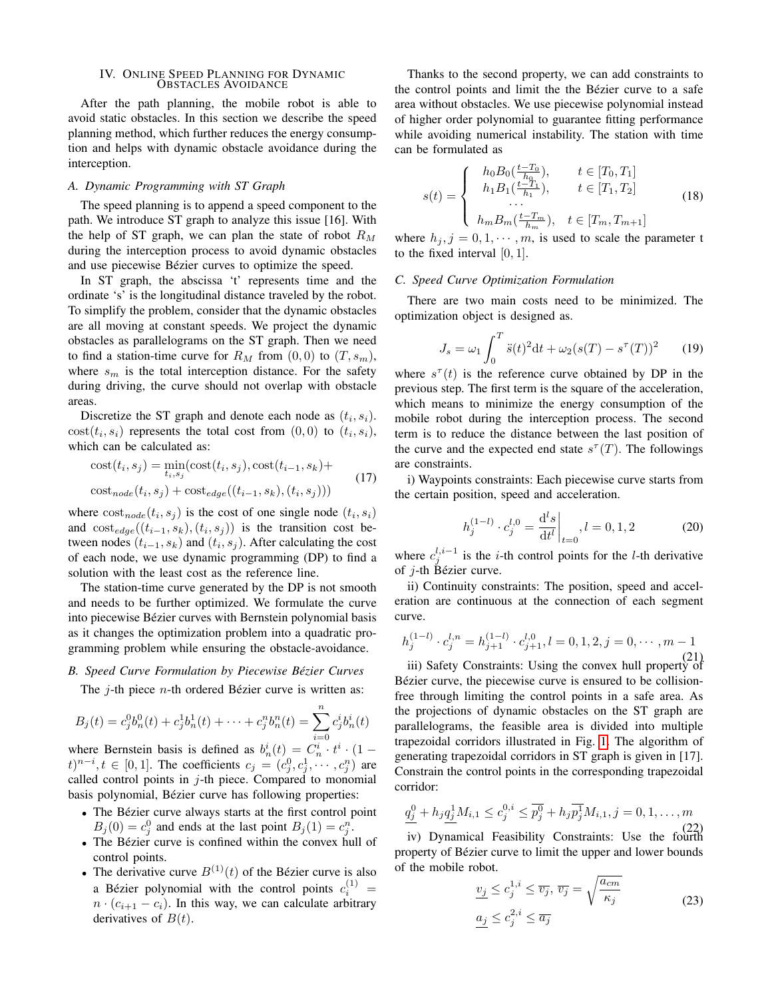# <span id="page-3-0"></span>IV. ONLINE SPEED PLANNING FOR DYNAMIC OBSTACLES AVOIDANCE

After the path planning, the mobile robot is able to avoid static obstacles. In this section we describe the speed planning method, which further reduces the energy consumption and helps with dynamic obstacle avoidance during the interception.

## *A. Dynamic Programming with ST Graph*

The speed planning is to append a speed component to the path. We introduce ST graph to analyze this issue [16]. With the help of ST graph, we can plan the state of robot  $R_M$ during the interception process to avoid dynamic obstacles and use piecewise Bézier curves to optimize the speed.

In ST graph, the abscissa 't' represents time and the ordinate 's' is the longitudinal distance traveled by the robot. To simplify the problem, consider that the dynamic obstacles are all moving at constant speeds. We project the dynamic obstacles as parallelograms on the ST graph. Then we need to find a station-time curve for  $R_M$  from  $(0,0)$  to  $(T, s_m)$ , where  $s_m$  is the total interception distance. For the safety during driving, the curve should not overlap with obstacle areas.

Discretize the ST graph and denote each node as  $(t_i, s_i)$ .  $cost(t_i, s_i)$  represents the total cost from  $(0, 0)$  to  $(t_i, s_i)$ , which can be calculated as:

$$
\begin{aligned} \text{cost}(t_i, s_j) &= \min_{t_i, s_j} (\text{cost}(t_i, s_j), \text{cost}(t_{i-1}, s_k) + \\ \text{cost}_{node}(t_i, s_j) + \text{cost}_{edge}((t_{i-1}, s_k), (t_i, s_j))) \end{aligned} \tag{17}
$$

where  $cost_{node}(t_i, s_j)$  is the cost of one single node  $(t_i, s_i)$ and  $\cot_{edge}((t_{i-1}, s_k), (t_i, s_j))$  is the transition cost between nodes  $(t_{i-1}, s_k)$  and  $(t_i, s_j)$ . After calculating the cost of each node, we use dynamic programming (DP) to find a solution with the least cost as the reference line.

The station-time curve generated by the DP is not smooth and needs to be further optimized. We formulate the curve into piecewise Bézier curves with Bernstein polynomial basis as it changes the optimization problem into a quadratic programming problem while ensuring the obstacle-avoidance.

## *B. Speed Curve Formulation by Piecewise Bezier Curves ´*

The  $j$ -th piece  $n$ -th ordered Bézier curve is written as:

$$
B_j(t) = c_j^0 b_n^0(t) + c_j^1 b_n^1(t) + \dots + c_j^n b_n^n(t) = \sum_{i=0}^n c_j^i b_n^i(t)
$$

where Bernstein basis is defined as  $b_n^i(t) = C_n^i \cdot t^i \cdot (1 - t)$  $(t)^{n-i}, t \in [0,1]$ . The coefficients  $c_j = (c_j^0, c_j^1, \dots, c_j^n)$  are called control points in  $j$ -th piece. Compared to monomial basis polynomial, Bézier curve has following properties:

- The Bézier curve always starts at the first control point  $B_j(0) = c_j^0$  and ends at the last point  $B_j(1) = c_j^n$ .
- The Bézier curve is confined within the convex hull of control points.
- The derivative curve  $B^{(1)}(t)$  of the Bézier curve is also a Bézier polynomial with the control points  $c_i^{(1)} =$  $n \cdot (c_{i+1} - c_i)$ . In this way, we can calculate arbitrary derivatives of  $B(t)$ .

Thanks to the second property, we can add constraints to the control points and limit the the Bézier curve to a safe area without obstacles. We use piecewise polynomial instead of higher order polynomial to guarantee fitting performance while avoiding numerical instability. The station with time can be formulated as

$$
s(t) = \begin{cases} h_0 B_0(\frac{t - T_0}{h_0}), & t \in [T_0, T_1] \\ h_1 B_1(\frac{t - T_1}{h_1}), & t \in [T_1, T_2] \\ \dots \\ h_m B_m(\frac{t - T_m}{h_m}), & t \in [T_m, T_{m+1}] \end{cases}
$$
(18)

where  $h_j$ ,  $j = 0, 1, \dots, m$ , is used to scale the parameter t to the fixed interval [0, 1].

## *C. Speed Curve Optimization Formulation*

There are two main costs need to be minimized. The optimization object is designed as.

$$
J_s = \omega_1 \int_0^T \ddot{s}(t)^2 dt + \omega_2 (s(T) - s^\tau(T))^2 \qquad (19)
$$

where  $s^{\tau}(t)$  is the reference curve obtained by DP in the previous step. The first term is the square of the acceleration, which means to minimize the energy consumption of the mobile robot during the interception process. The second term is to reduce the distance between the last position of the curve and the expected end state  $s^{\tau}(T)$ . The followings are constraints.

i) Waypoints constraints: Each piecewise curve starts from the certain position, speed and acceleration.

$$
h_j^{(1-l)} \cdot c_j^{l,0} = \frac{\mathrm{d}^l s}{\mathrm{d}t^l}\bigg|_{t=0}, l = 0, 1, 2 \tag{20}
$$

where  $c_j^{l,i-1}$  is the *i*-th control points for the *l*-th derivative of  $i$ -th Bézier curve.

ii) Continuity constraints: The position, speed and acceleration are continuous at the connection of each segment curve.

$$
h_j^{(1-l)} \cdot c_j^{l,n} = h_{j+1}^{(1-l)} \cdot c_{j+1}^{l,0}, l = 0, 1, 2, j = 0, \cdots, m-1
$$
\n(21)

(21) iii) Safety Constraints: Using the convex hull property of Bézier curve, the piecewise curve is ensured to be collisionfree through limiting the control points in a safe area. As the projections of dynamic obstacles on the ST graph are parallelograms, the feasible area is divided into multiple trapezoidal corridors illustrated in Fig. [1.](#page-4-2) The algorithm of generating trapezoidal corridors in ST graph is given in [17]. Constrain the control points in the corresponding trapezoidal corridor:

$$
\underline{q_j^0} + h_j \underline{q_j^1} M_{i,1} \le c_j^{0,i} \le \overline{p_j^0} + h_j \overline{p_j^1} M_{i,1}, j = 0, 1, \dots, m
$$
\n(22)

(22) iv) Dynamical Feasibility Constraints: Use the fourth property of Bézier curve to limit the upper and lower bounds of the mobile robot.

$$
\underline{v_j} \le c_j^{1,i} \le \overline{v_j}, \ \overline{v_j} = \sqrt{\frac{a_{cm}}{\kappa_j}}
$$
\n
$$
\underline{a_j} \le c_j^{2,i} \le \overline{a_j}
$$
\n(23)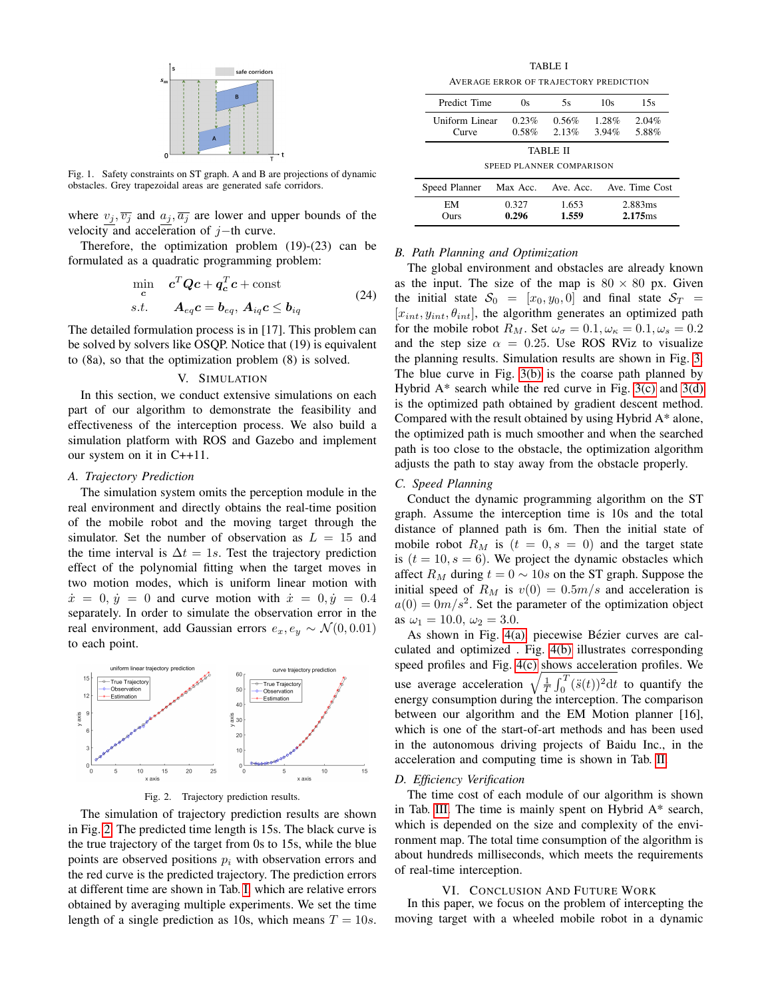

<span id="page-4-2"></span>Fig. 1. Safety constraints on ST graph. A and B are projections of dynamic obstacles. Grey trapezoidal areas are generated safe corridors.

where  $v_j, \overline{v_j}$  and  $a_j, \overline{a_j}$  are lower and upper bounds of the velocity and acceleration of  $j$ −th curve.

Therefore, the optimization problem (19)-(23) can be formulated as a quadratic programming problem:

$$
\min_{\mathbf{c}} \quad \mathbf{c}^T \mathbf{Q} \mathbf{c} + \mathbf{q}_c^T \mathbf{c} + \text{const} \ns.t. \quad \mathbf{A}_{eq} \mathbf{c} = \mathbf{b}_{eq}, \, \mathbf{A}_{iq} \mathbf{c} \le \mathbf{b}_{iq}
$$
\n
$$
(24)
$$

The detailed formulation process is in [17]. This problem can be solved by solvers like OSQP. Notice that (19) is equivalent to (8a), so that the optimization problem (8) is solved.

#### V. SIMULATION

<span id="page-4-0"></span>In this section, we conduct extensive simulations on each part of our algorithm to demonstrate the feasibility and effectiveness of the interception process. We also build a simulation platform with ROS and Gazebo and implement our system on it in C++11.

## *A. Trajectory Prediction*

The simulation system omits the perception module in the real environment and directly obtains the real-time position of the mobile robot and the moving target through the simulator. Set the number of observation as  $L = 15$  and the time interval is  $\Delta t = 1s$ . Test the trajectory prediction effect of the polynomial fitting when the target moves in two motion modes, which is uniform linear motion with  $\dot{x} = 0, \dot{y} = 0$  and curve motion with  $\dot{x} = 0, \dot{y} = 0.4$ separately. In order to simulate the observation error in the real environment, add Gaussian errors  $e_x, e_y \sim \mathcal{N}(0, 0.01)$ to each point.



<span id="page-4-3"></span>Fig. 2. Trajectory prediction results.

The simulation of trajectory prediction results are shown in Fig. [2.](#page-4-3) The predicted time length is 15s. The black curve is the true trajectory of the target from 0s to 15s, while the blue points are observed positions  $p_i$  with observation errors and the red curve is the predicted trajectory. The prediction errors at different time are shown in Tab. [I,](#page-4-4) which are relative errors obtained by averaging multiple experiments. We set the time length of a single prediction as 10s, which means  $T = 10s$ .

TABLE I AVERAGE ERROR OF TRAJECTORY PREDICTION

<span id="page-4-5"></span><span id="page-4-4"></span>

|                                      | Predict Time                 | 0s                 | 5s             | 10s            | 15s                            |  |
|--------------------------------------|------------------------------|--------------------|----------------|----------------|--------------------------------|--|
|                                      | Uniform Linear<br>Curve      | 0.23%<br>0.58%     | 0.56%<br>2.13% | 1.28%<br>3.94% | 2.04%<br>5.88%                 |  |
| TABLE II<br>SPEED PLANNER COMPARISON |                              |                    |                |                |                                |  |
| Speed Planner                        |                              | Max Acc. Ave. Acc. |                |                | Ave. Time Cost                 |  |
|                                      | 0.327<br>EМ<br>0.296<br>Ours |                    | 1.653<br>1.559 |                | 2.883ms<br>2.175 <sub>ms</sub> |  |

## *B. Path Planning and Optimization*

The global environment and obstacles are already known as the input. The size of the map is  $80 \times 80$  px. Given the initial state  $S_0 = [x_0, y_0, 0]$  and final state  $S_T =$  $[x_{int}, y_{int}, \theta_{int}]$ , the algorithm generates an optimized path for the mobile robot  $R_M$ . Set  $\omega_{\sigma} = 0.1, \omega_{\kappa} = 0.1, \omega_s = 0.2$ and the step size  $\alpha = 0.25$ . Use ROS RViz to visualize the planning results. Simulation results are shown in Fig. [3.](#page-5-0) The blue curve in Fig. [3\(b\)](#page-5-1) is the coarse path planned by Hybrid  $A^*$  search while the red curve in Fig. [3\(c\)](#page-5-2) and [3\(d\)](#page-5-3) is the optimized path obtained by gradient descent method. Compared with the result obtained by using Hybrid A\* alone, the optimized path is much smoother and when the searched path is too close to the obstacle, the optimization algorithm adjusts the path to stay away from the obstacle properly.

## *C. Speed Planning*

Conduct the dynamic programming algorithm on the ST graph. Assume the interception time is 10s and the total distance of planned path is 6m. Then the initial state of mobile robot  $R_M$  is  $(t = 0, s = 0)$  and the target state is  $(t = 10, s = 6)$ . We project the dynamic obstacles which affect  $R_M$  during  $t = 0 \sim 10s$  on the ST graph. Suppose the initial speed of  $R_M$  is  $v(0) = 0.5m/s$  and acceleration is  $a(0) = 0m/s^2$ . Set the parameter of the optimization object as  $\omega_1 = 10.0, \omega_2 = 3.0.$ 

As shown in Fig. [4\(a\),](#page-5-4) piecewise Bézier curves are calculated and optimized . Fig. [4\(b\)](#page-5-5) illustrates corresponding speed profiles and Fig. [4\(c\)](#page-5-6) shows acceleration profiles. We use average acceleration  $\sqrt{\frac{1}{T} \int_0^T (\ddot{s}(t))^2 dt}$  to quantify the energy consumption during the interception. The comparison between our algorithm and the EM Motion planner [16], which is one of the start-of-art methods and has been used in the autonomous driving projects of Baidu Inc., in the acceleration and computing time is shown in Tab. [II.](#page-4-5)

### *D. Efficiency Verification*

The time cost of each module of our algorithm is shown in Tab. [III.](#page-5-7) The time is mainly spent on Hybrid A\* search, which is depended on the size and complexity of the environment map. The total time consumption of the algorithm is about hundreds milliseconds, which meets the requirements of real-time interception.

#### VI. CONCLUSION AND FUTURE WORK

<span id="page-4-1"></span>In this paper, we focus on the problem of intercepting the moving target with a wheeled mobile robot in a dynamic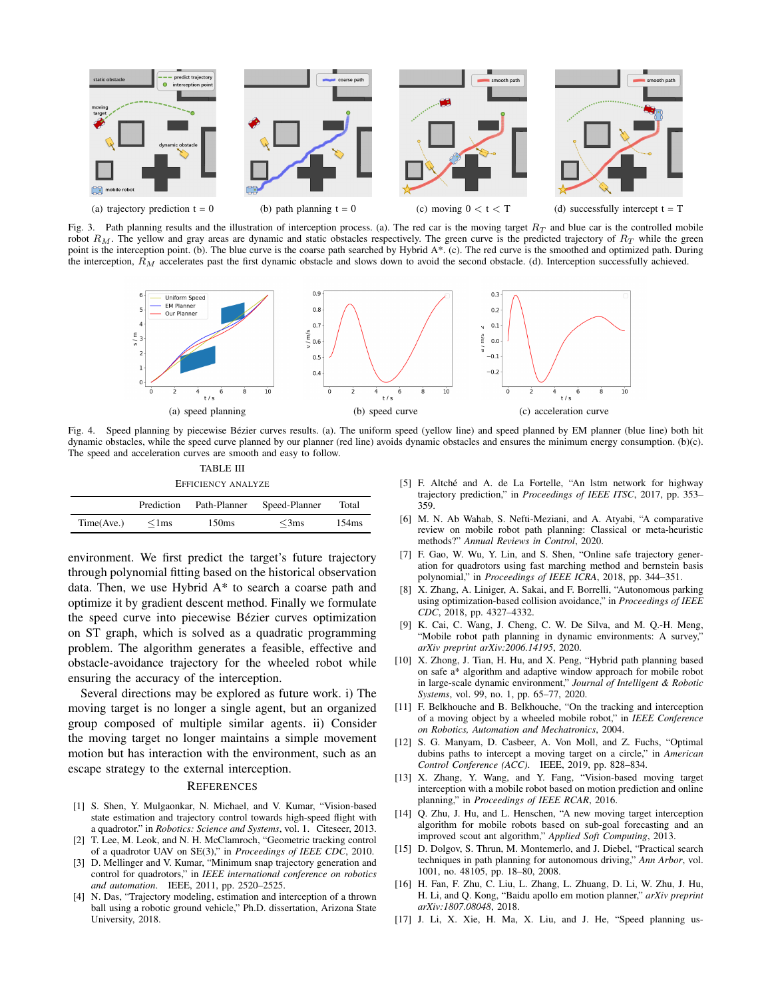

<span id="page-5-4"></span><span id="page-5-0"></span>Fig. 3. Path planning results and the illustration of interception process. (a). The red car is the moving target  $R_T$  and blue car is the controlled mobile robot  $R_M$ . The yellow and gray areas are dynamic and static obstacles respectively. The green curve is the predicted trajectory of  $R_T$  while the green point is the interception point. (b). The blue curve is the coarse path searched by Hybrid A\*. (c). The red curve is the smoothed and optimized path. During the interception,  $R_M$  accelerates past the first dynamic obstacle and slows down to avoid the second obstacle. (d). Interception successfully achieved.

<span id="page-5-2"></span><span id="page-5-1"></span>

Fig. 4. Speed planning by piecewise Bézier curves results. (a). The uniform speed (yellow line) and speed planned by EM planner (blue line) both hit dynamic obstacles, while the speed curve planned by our planner (red line) avoids dynamic obstacles and ensures the minimum energy consumption. (b)(c). The speed and acceleration curves are smooth and easy to follow.

<span id="page-5-7"></span>TABLE III EFFICIENCY ANALYZE Prediction Path-Planner Speed-Planner Total  $Time(Ave.)$   $\leq 1 \text{ms}$   $150 \text{ms}$   $\leq 3 \text{ms}$   $154 \text{ms}$ 

environment. We first predict the target's future trajectory through polynomial fitting based on the historical observation data. Then, we use Hybrid A\* to search a coarse path and optimize it by gradient descent method. Finally we formulate the speed curve into piecewise Bézier curves optimization on ST graph, which is solved as a quadratic programming problem. The algorithm generates a feasible, effective and obstacle-avoidance trajectory for the wheeled robot while ensuring the accuracy of the interception.

Several directions may be explored as future work. i) The moving target is no longer a single agent, but an organized group composed of multiple similar agents. ii) Consider the moving target no longer maintains a simple movement motion but has interaction with the environment, such as an escape strategy to the external interception.

#### **REFERENCES**

- [1] S. Shen, Y. Mulgaonkar, N. Michael, and V. Kumar, "Vision-based state estimation and trajectory control towards high-speed flight with a quadrotor." in *Robotics: Science and Systems*, vol. 1. Citeseer, 2013.
- [2] T. Lee, M. Leok, and N. H. McClamroch, "Geometric tracking control of a quadrotor UAV on SE(3)," in *Proceedings of IEEE CDC*, 2010.
- [3] D. Mellinger and V. Kumar, "Minimum snap trajectory generation and control for quadrotors," in *IEEE international conference on robotics and automation*. IEEE, 2011, pp. 2520–2525.
- [4] N. Das, "Trajectory modeling, estimation and interception of a thrown ball using a robotic ground vehicle," Ph.D. dissertation, Arizona State University, 2018.
- <span id="page-5-6"></span><span id="page-5-5"></span><span id="page-5-3"></span>[5] F. Altché and A. de La Fortelle, "An lstm network for highway trajectory prediction," in *Proceedings of IEEE ITSC*, 2017, pp. 353– 359.
- [6] M. N. Ab Wahab, S. Nefti-Meziani, and A. Atyabi, "A comparative review on mobile robot path planning: Classical or meta-heuristic methods?" *Annual Reviews in Control*, 2020.
- [7] F. Gao, W. Wu, Y. Lin, and S. Shen, "Online safe trajectory generation for quadrotors using fast marching method and bernstein basis polynomial," in *Proceedings of IEEE ICRA*, 2018, pp. 344–351.
- [8] X. Zhang, A. Liniger, A. Sakai, and F. Borrelli, "Autonomous parking using optimization-based collision avoidance," in *Proceedings of IEEE CDC*, 2018, pp. 4327–4332.
- [9] K. Cai, C. Wang, J. Cheng, C. W. De Silva, and M. Q.-H. Meng, "Mobile robot path planning in dynamic environments: A survey," *arXiv preprint arXiv:2006.14195*, 2020.
- [10] X. Zhong, J. Tian, H. Hu, and X. Peng, "Hybrid path planning based on safe a\* algorithm and adaptive window approach for mobile robot in large-scale dynamic environment," *Journal of Intelligent & Robotic Systems*, vol. 99, no. 1, pp. 65–77, 2020.
- [11] F. Belkhouche and B. Belkhouche, "On the tracking and interception of a moving object by a wheeled mobile robot," in *IEEE Conference on Robotics, Automation and Mechatronics*, 2004.
- [12] S. G. Manyam, D. Casbeer, A. Von Moll, and Z. Fuchs, "Optimal dubins paths to intercept a moving target on a circle," in *American Control Conference (ACC)*. IEEE, 2019, pp. 828–834.
- [13] X. Zhang, Y. Wang, and Y. Fang, "Vision-based moving target interception with a mobile robot based on motion prediction and online planning," in *Proceedings of IEEE RCAR*, 2016.
- [14] Q. Zhu, J. Hu, and L. Henschen, "A new moving target interception algorithm for mobile robots based on sub-goal forecasting and an improved scout ant algorithm," *Applied Soft Computing*, 2013.
- [15] D. Dolgov, S. Thrun, M. Montemerlo, and J. Diebel, "Practical search techniques in path planning for autonomous driving," *Ann Arbor*, vol. 1001, no. 48105, pp. 18–80, 2008.
- [16] H. Fan, F. Zhu, C. Liu, L. Zhang, L. Zhuang, D. Li, W. Zhu, J. Hu, H. Li, and Q. Kong, "Baidu apollo em motion planner," *arXiv preprint arXiv:1807.08048*, 2018.
- [17] J. Li, X. Xie, H. Ma, X. Liu, and J. He, "Speed planning us-